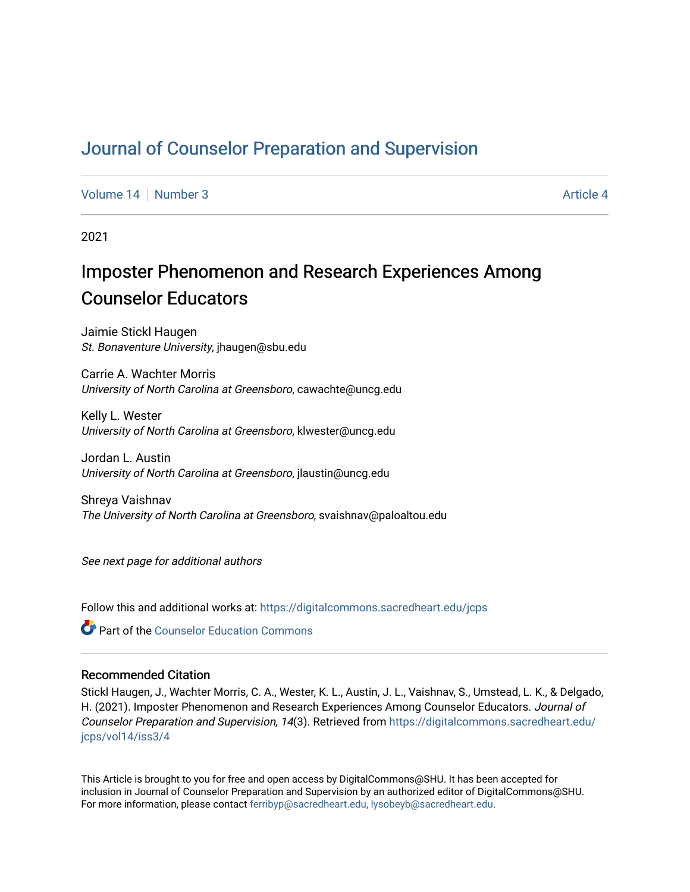# [Journal of Counselor Preparation and Supervision](https://digitalcommons.sacredheart.edu/jcps)

[Volume 14](https://digitalcommons.sacredheart.edu/jcps/vol14) | [Number 3](https://digitalcommons.sacredheart.edu/jcps/vol14/iss3) Article 4

2021

# Imposter Phenomenon and Research Experiences Among Counselor Educators

Jaimie Stickl Haugen St. Bonaventure University, jhaugen@sbu.edu

Carrie A. Wachter Morris University of North Carolina at Greensboro, cawachte@uncg.edu

Kelly L. Wester University of North Carolina at Greensboro, klwester@uncg.edu

Jordan L. Austin University of North Carolina at Greensboro, jlaustin@uncg.edu

Shreya Vaishnav The University of North Carolina at Greensboro, svaishnav@paloaltou.edu

See next page for additional authors

Follow this and additional works at: [https://digitalcommons.sacredheart.edu/jcps](https://digitalcommons.sacredheart.edu/jcps?utm_source=digitalcommons.sacredheart.edu%2Fjcps%2Fvol14%2Fiss3%2F4&utm_medium=PDF&utm_campaign=PDFCoverPages) 

**C** Part of the Counselor Education Commons

#### Recommended Citation

Stickl Haugen, J., Wachter Morris, C. A., Wester, K. L., Austin, J. L., Vaishnav, S., Umstead, L. K., & Delgado, H. (2021). Imposter Phenomenon and Research Experiences Among Counselor Educators. Journal of Counselor Preparation and Supervision, 14(3). Retrieved from [https://digitalcommons.sacredheart.edu/](https://digitalcommons.sacredheart.edu/jcps/vol14/iss3/4?utm_source=digitalcommons.sacredheart.edu%2Fjcps%2Fvol14%2Fiss3%2F4&utm_medium=PDF&utm_campaign=PDFCoverPages) [jcps/vol14/iss3/4](https://digitalcommons.sacredheart.edu/jcps/vol14/iss3/4?utm_source=digitalcommons.sacredheart.edu%2Fjcps%2Fvol14%2Fiss3%2F4&utm_medium=PDF&utm_campaign=PDFCoverPages) 

This Article is brought to you for free and open access by DigitalCommons@SHU. It has been accepted for inclusion in Journal of Counselor Preparation and Supervision by an authorized editor of DigitalCommons@SHU. For more information, please contact [ferribyp@sacredheart.edu, lysobeyb@sacredheart.edu.](mailto:ferribyp@sacredheart.edu,%20lysobeyb@sacredheart.edu)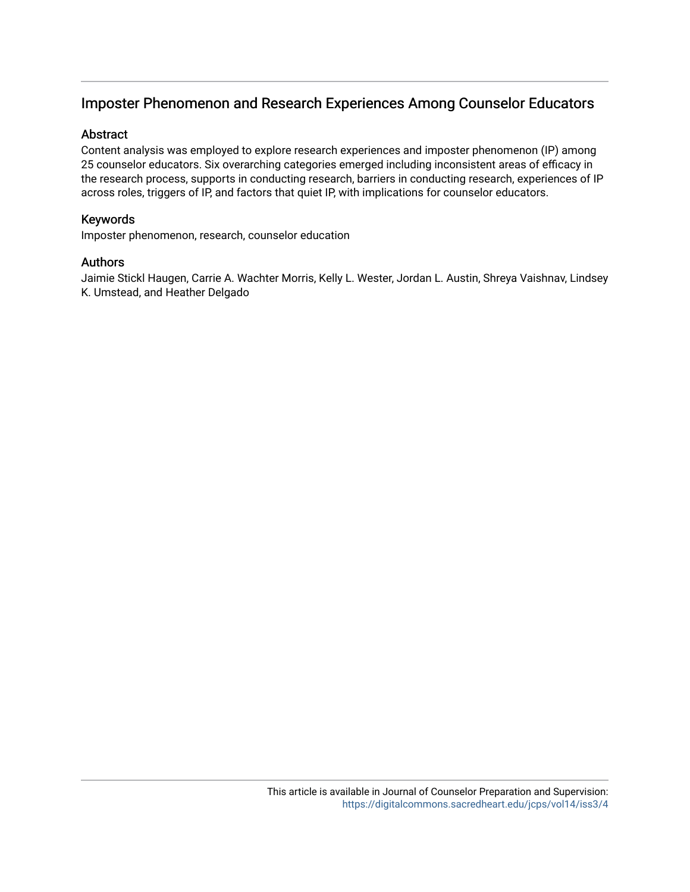## Imposter Phenomenon and Research Experiences Among Counselor Educators

## Abstract

Content analysis was employed to explore research experiences and imposter phenomenon (IP) among 25 counselor educators. Six overarching categories emerged including inconsistent areas of efficacy in the research process, supports in conducting research, barriers in conducting research, experiences of IP across roles, triggers of IP, and factors that quiet IP, with implications for counselor educators.

## Keywords

Imposter phenomenon, research, counselor education

### Authors

Jaimie Stickl Haugen, Carrie A. Wachter Morris, Kelly L. Wester, Jordan L. Austin, Shreya Vaishnav, Lindsey K. Umstead, and Heather Delgado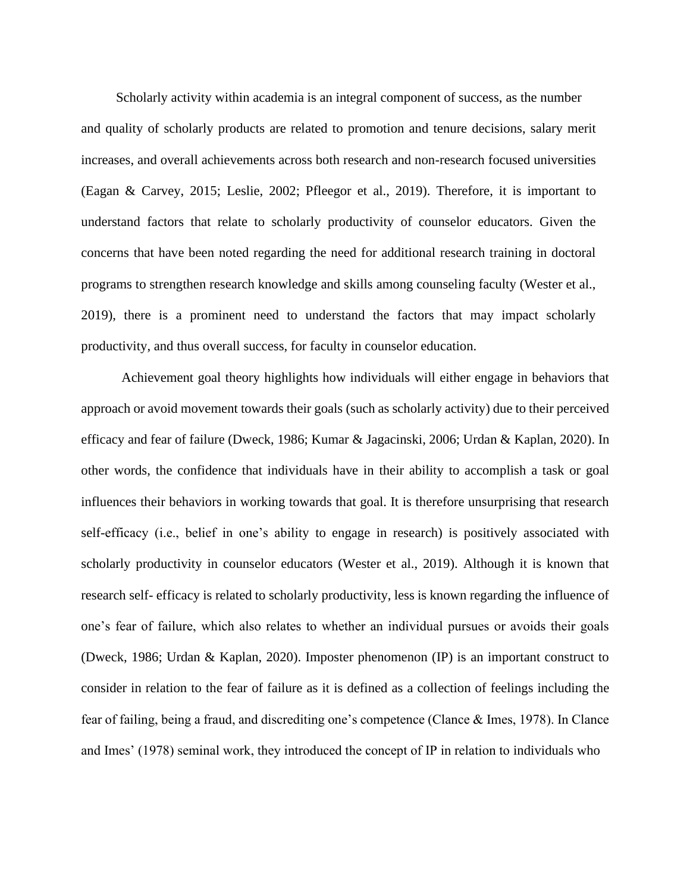Scholarly activity within academia is an integral component of success, as the number and quality of scholarly products are related to promotion and tenure decisions, salary merit increases, and overall achievements across both research and non-research focused universities (Eagan & Carvey, 2015; Leslie, 2002; Pfleegor et al., 2019). Therefore, it is important to understand factors that relate to scholarly productivity of counselor educators. Given the concerns that have been noted regarding the need for additional research training in doctoral programs to strengthen research knowledge and skills among counseling faculty (Wester et al., 2019), there is a prominent need to understand the factors that may impact scholarly productivity, and thus overall success, for faculty in counselor education.

Achievement goal theory highlights how individuals will either engage in behaviors that approach or avoid movement towards their goals (such as scholarly activity) due to their perceived efficacy and fear of failure (Dweck, 1986; Kumar & Jagacinski, 2006; Urdan & Kaplan, 2020). In other words, the confidence that individuals have in their ability to accomplish a task or goal influences their behaviors in working towards that goal. It is therefore unsurprising that research self-efficacy (i.e., belief in one's ability to engage in research) is positively associated with scholarly productivity in counselor educators (Wester et al., 2019). Although it is known that research self- efficacy is related to scholarly productivity, less is known regarding the influence of one's fear of failure, which also relates to whether an individual pursues or avoids their goals (Dweck, 1986; Urdan & Kaplan, 2020). Imposter phenomenon (IP) is an important construct to consider in relation to the fear of failure as it is defined as a collection of feelings including the fear of failing, being a fraud, and discrediting one's competence (Clance & Imes, 1978). In Clance and Imes' (1978) seminal work, they introduced the concept of IP in relation to individuals who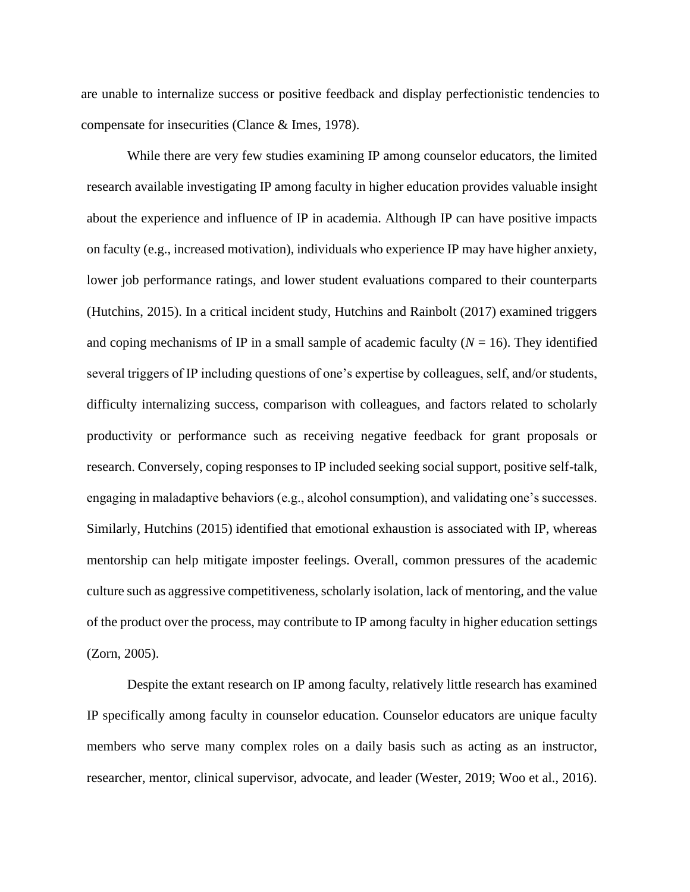are unable to internalize success or positive feedback and display perfectionistic tendencies to compensate for insecurities (Clance & Imes, 1978).

While there are very few studies examining IP among counselor educators, the limited research available investigating IP among faculty in higher education provides valuable insight about the experience and influence of IP in academia. Although IP can have positive impacts on faculty (e.g., increased motivation), individuals who experience IP may have higher anxiety, lower job performance ratings, and lower student evaluations compared to their counterparts (Hutchins, 2015). In a critical incident study, Hutchins and Rainbolt (2017) examined triggers and coping mechanisms of IP in a small sample of academic faculty  $(N = 16)$ . They identified several triggers of IP including questions of one's expertise by colleagues, self, and/or students, difficulty internalizing success, comparison with colleagues, and factors related to scholarly productivity or performance such as receiving negative feedback for grant proposals or research. Conversely, coping responses to IP included seeking social support, positive self-talk, engaging in maladaptive behaviors (e.g., alcohol consumption), and validating one's successes. Similarly, Hutchins (2015) identified that emotional exhaustion is associated with IP, whereas mentorship can help mitigate imposter feelings. Overall, common pressures of the academic culture such as aggressive competitiveness, scholarly isolation, lack of mentoring, and the value of the product over the process, may contribute to IP among faculty in higher education settings (Zorn, 2005).

Despite the extant research on IP among faculty, relatively little research has examined IP specifically among faculty in counselor education. Counselor educators are unique faculty members who serve many complex roles on a daily basis such as acting as an instructor, researcher, mentor, clinical supervisor, advocate, and leader (Wester, 2019; Woo et al., 2016).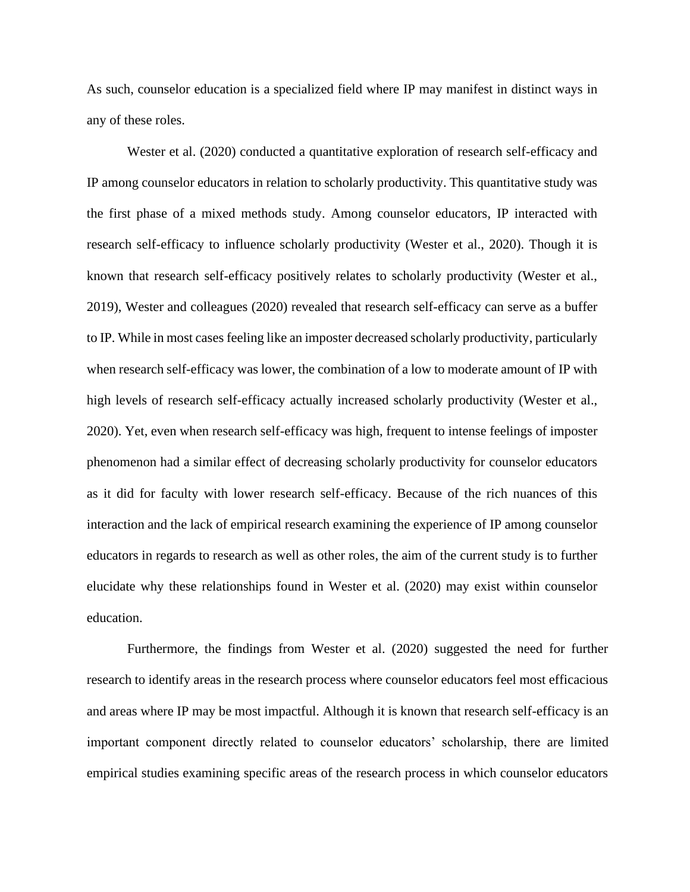As such, counselor education is a specialized field where IP may manifest in distinct ways in any of these roles.

Wester et al. (2020) conducted a quantitative exploration of research self-efficacy and IP among counselor educators in relation to scholarly productivity. This quantitative study was the first phase of a mixed methods study. Among counselor educators, IP interacted with research self-efficacy to influence scholarly productivity (Wester et al., 2020). Though it is known that research self-efficacy positively relates to scholarly productivity (Wester et al., 2019), Wester and colleagues (2020) revealed that research self-efficacy can serve as a buffer to IP. While in most cases feeling like an imposter decreased scholarly productivity, particularly when research self-efficacy was lower, the combination of a low to moderate amount of IP with high levels of research self-efficacy actually increased scholarly productivity (Wester et al., 2020). Yet, even when research self-efficacy was high, frequent to intense feelings of imposter phenomenon had a similar effect of decreasing scholarly productivity for counselor educators as it did for faculty with lower research self-efficacy. Because of the rich nuances of this interaction and the lack of empirical research examining the experience of IP among counselor educators in regards to research as well as other roles, the aim of the current study is to further elucidate why these relationships found in Wester et al. (2020) may exist within counselor education.

Furthermore, the findings from Wester et al. (2020) suggested the need for further research to identify areas in the research process where counselor educators feel most efficacious and areas where IP may be most impactful. Although it is known that research self-efficacy is an important component directly related to counselor educators' scholarship, there are limited empirical studies examining specific areas of the research process in which counselor educators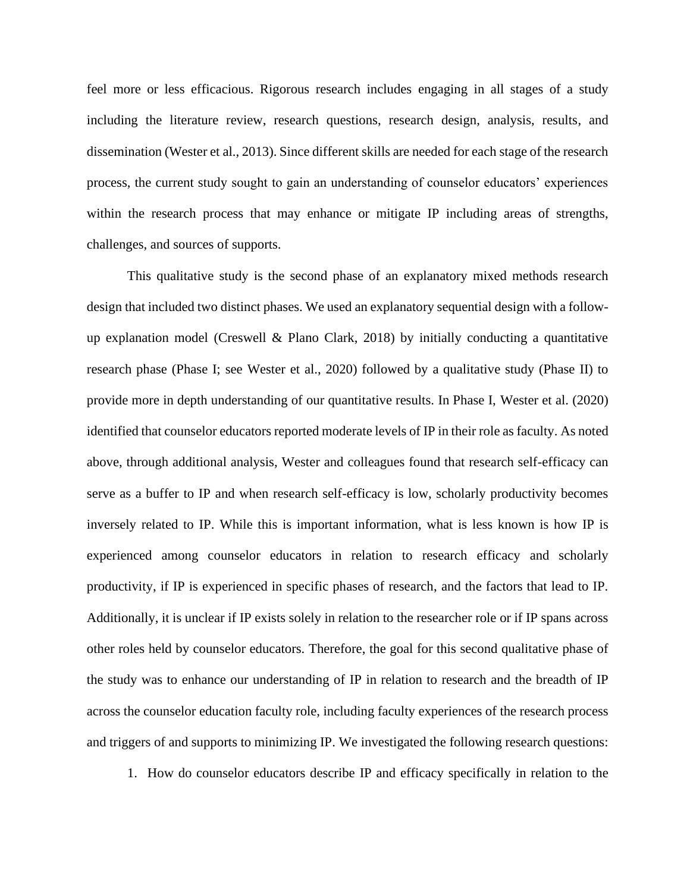feel more or less efficacious. Rigorous research includes engaging in all stages of a study including the literature review, research questions, research design, analysis, results, and dissemination (Wester et al., 2013). Since different skills are needed for each stage of the research process, the current study sought to gain an understanding of counselor educators' experiences within the research process that may enhance or mitigate IP including areas of strengths, challenges, and sources of supports.

This qualitative study is the second phase of an explanatory mixed methods research design that included two distinct phases. We used an explanatory sequential design with a followup explanation model (Creswell & Plano Clark, 2018) by initially conducting a quantitative research phase (Phase I; see Wester et al., 2020) followed by a qualitative study (Phase II) to provide more in depth understanding of our quantitative results. In Phase I, Wester et al. (2020) identified that counselor educators reported moderate levels of IP in their role as faculty. As noted above, through additional analysis, Wester and colleagues found that research self-efficacy can serve as a buffer to IP and when research self-efficacy is low, scholarly productivity becomes inversely related to IP. While this is important information, what is less known is how IP is experienced among counselor educators in relation to research efficacy and scholarly productivity, if IP is experienced in specific phases of research, and the factors that lead to IP. Additionally, it is unclear if IP exists solely in relation to the researcher role or if IP spans across other roles held by counselor educators. Therefore, the goal for this second qualitative phase of the study was to enhance our understanding of IP in relation to research and the breadth of IP across the counselor education faculty role, including faculty experiences of the research process and triggers of and supports to minimizing IP. We investigated the following research questions:

1. How do counselor educators describe IP and efficacy specifically in relation to the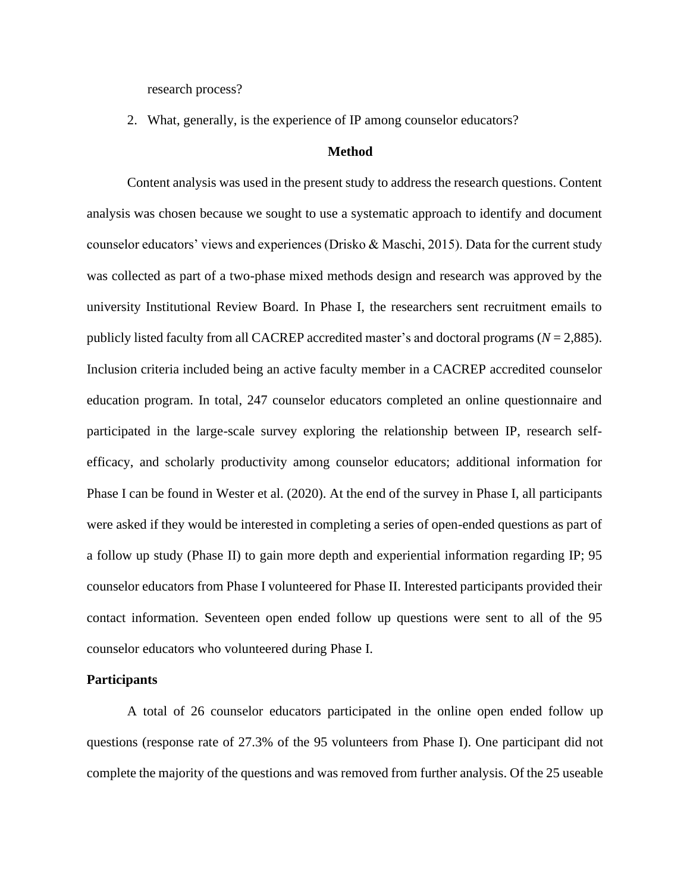research process?

2. What, generally, is the experience of IP among counselor educators?

#### **Method**

Content analysis was used in the present study to address the research questions. Content analysis was chosen because we sought to use a systematic approach to identify and document counselor educators' views and experiences (Drisko & Maschi, 2015). Data for the current study was collected as part of a two-phase mixed methods design and research was approved by the university Institutional Review Board. In Phase I, the researchers sent recruitment emails to publicly listed faculty from all CACREP accredited master's and doctoral programs (*N* = 2,885). Inclusion criteria included being an active faculty member in a CACREP accredited counselor education program. In total, 247 counselor educators completed an online questionnaire and participated in the large-scale survey exploring the relationship between IP, research selfefficacy, and scholarly productivity among counselor educators; additional information for Phase I can be found in Wester et al. (2020). At the end of the survey in Phase I, all participants were asked if they would be interested in completing a series of open-ended questions as part of a follow up study (Phase II) to gain more depth and experiential information regarding IP; 95 counselor educators from Phase I volunteered for Phase II. Interested participants provided their contact information. Seventeen open ended follow up questions were sent to all of the 95 counselor educators who volunteered during Phase I.

#### **Participants**

A total of 26 counselor educators participated in the online open ended follow up questions (response rate of 27.3% of the 95 volunteers from Phase I). One participant did not complete the majority of the questions and was removed from further analysis. Of the 25 useable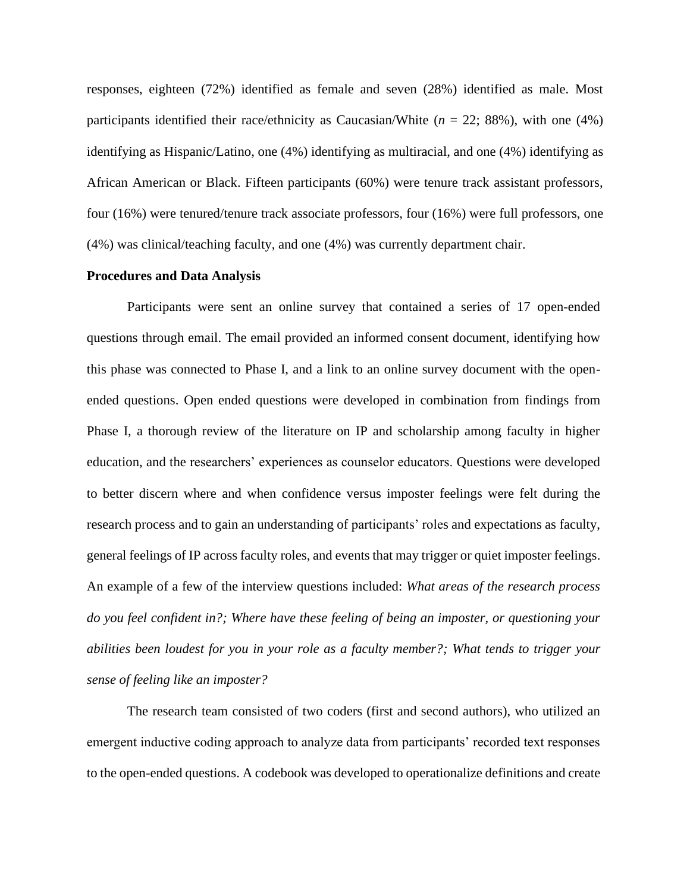responses, eighteen (72%) identified as female and seven (28%) identified as male. Most participants identified their race/ethnicity as Caucasian/White (*n* = 22; 88%), with one (4%) identifying as Hispanic/Latino, one (4%) identifying as multiracial, and one (4%) identifying as African American or Black. Fifteen participants (60%) were tenure track assistant professors, four (16%) were tenured/tenure track associate professors, four (16%) were full professors, one (4%) was clinical/teaching faculty, and one (4%) was currently department chair.

#### **Procedures and Data Analysis**

Participants were sent an online survey that contained a series of 17 open-ended questions through email. The email provided an informed consent document, identifying how this phase was connected to Phase I, and a link to an online survey document with the openended questions. Open ended questions were developed in combination from findings from Phase I, a thorough review of the literature on IP and scholarship among faculty in higher education, and the researchers' experiences as counselor educators. Questions were developed to better discern where and when confidence versus imposter feelings were felt during the research process and to gain an understanding of participants' roles and expectations as faculty, general feelings of IP across faculty roles, and events that may trigger or quiet imposter feelings. An example of a few of the interview questions included: *What areas of the research process do you feel confident in?; Where have these feeling of being an imposter, or questioning your abilities been loudest for you in your role as a faculty member?; What tends to trigger your sense of feeling like an imposter?*

The research team consisted of two coders (first and second authors), who utilized an emergent inductive coding approach to analyze data from participants' recorded text responses to the open-ended questions. A codebook was developed to operationalize definitions and create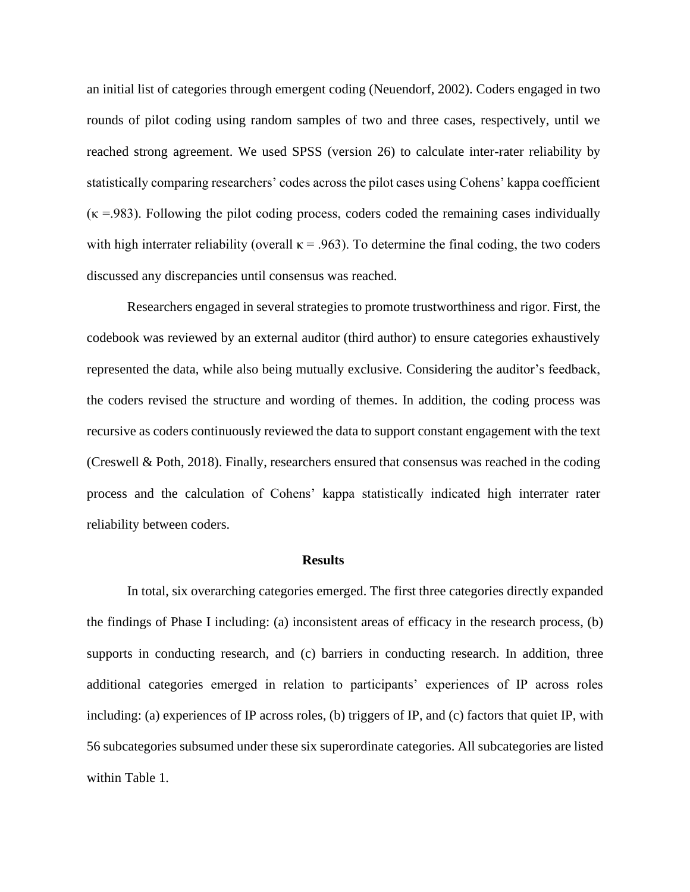an initial list of categories through emergent coding (Neuendorf, 2002). Coders engaged in two rounds of pilot coding using random samples of two and three cases, respectively, until we reached strong agreement. We used SPSS (version 26) to calculate inter-rater reliability by statistically comparing researchers' codes across the pilot cases using Cohens' kappa coefficient  $(\kappa = .983)$ . Following the pilot coding process, coders coded the remaining cases individually with high interrater reliability (overall  $\kappa = .963$ ). To determine the final coding, the two coders discussed any discrepancies until consensus was reached.

Researchers engaged in several strategies to promote trustworthiness and rigor. First, the codebook was reviewed by an external auditor (third author) to ensure categories exhaustively represented the data, while also being mutually exclusive. Considering the auditor's feedback, the coders revised the structure and wording of themes. In addition, the coding process was recursive as coders continuously reviewed the data to support constant engagement with the text (Creswell & Poth, 2018). Finally, researchers ensured that consensus was reached in the coding process and the calculation of Cohens' kappa statistically indicated high interrater rater reliability between coders.

#### **Results**

In total, six overarching categories emerged. The first three categories directly expanded the findings of Phase I including: (a) inconsistent areas of efficacy in the research process, (b) supports in conducting research, and (c) barriers in conducting research. In addition, three additional categories emerged in relation to participants' experiences of IP across roles including: (a) experiences of IP across roles, (b) triggers of IP, and (c) factors that quiet IP, with 56 subcategories subsumed under these six superordinate categories. All subcategories are listed within Table 1.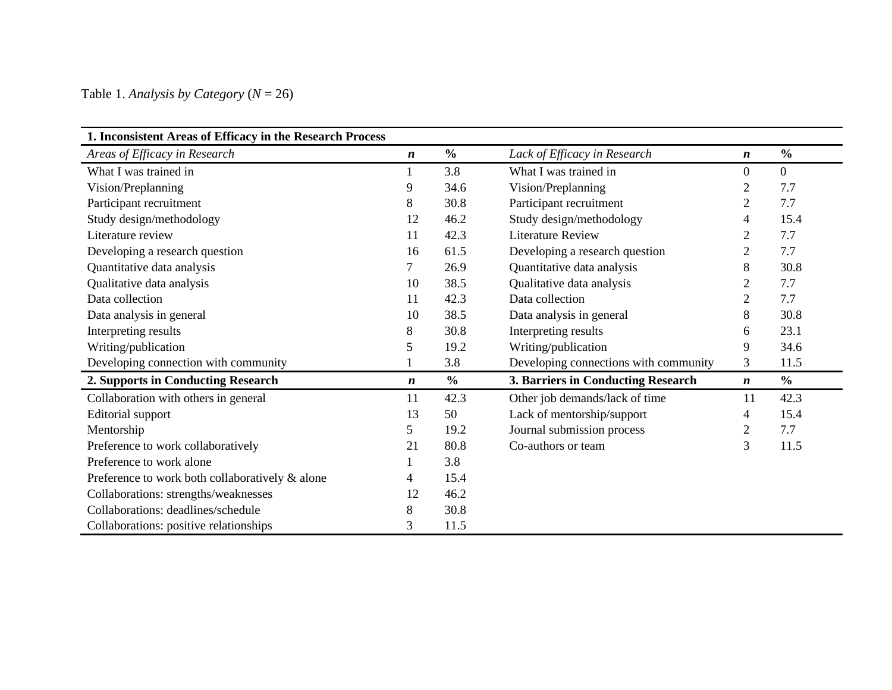Table 1. *Analysis by Category* (*N* = 26)

| 1. Inconsistent Areas of Efficacy in the Research Process |                  |               |                                       |                  |                |
|-----------------------------------------------------------|------------------|---------------|---------------------------------------|------------------|----------------|
| Areas of Efficacy in Research                             | $\boldsymbol{n}$ | $\frac{0}{0}$ | Lack of Efficacy in Research          | $\boldsymbol{n}$ | $\frac{0}{0}$  |
| What I was trained in                                     |                  | 3.8           | What I was trained in                 | $\overline{0}$   | $\overline{0}$ |
| Vision/Preplanning                                        | 9                | 34.6          | Vision/Preplanning                    | $\overline{2}$   | 7.7            |
| Participant recruitment                                   | 8                | 30.8          | Participant recruitment               | $\overline{2}$   | 7.7            |
| Study design/methodology                                  | 12               | 46.2          | Study design/methodology              | 4                | 15.4           |
| Literature review                                         | 11               | 42.3          | <b>Literature Review</b>              | $\overline{2}$   | 7.7            |
| Developing a research question                            | 16               | 61.5          | Developing a research question        | $\mathbf{2}$     | 7.7            |
| Quantitative data analysis                                | 7                | 26.9          | Quantitative data analysis            | 8                | 30.8           |
| Qualitative data analysis                                 | 10               | 38.5          | Qualitative data analysis             | $\overline{2}$   | 7.7            |
| Data collection                                           | 11               | 42.3          | Data collection                       | $\overline{2}$   | 7.7            |
| Data analysis in general                                  | 10               | 38.5          | Data analysis in general              | 8                | 30.8           |
| Interpreting results                                      | 8                | 30.8          | Interpreting results                  | 6                | 23.1           |
| Writing/publication                                       | 5                | 19.2          | Writing/publication                   | 9                | 34.6           |
| Developing connection with community                      |                  | 3.8           | Developing connections with community | 3                | 11.5           |
| 2. Supports in Conducting Research                        | $\boldsymbol{n}$ | $\frac{0}{0}$ | 3. Barriers in Conducting Research    | $\boldsymbol{n}$ | $\frac{0}{0}$  |
| Collaboration with others in general                      | 11               | 42.3          | Other job demands/lack of time        | 11               | 42.3           |
| Editorial support                                         | 13               | 50            | Lack of mentorship/support            | 4                | 15.4           |
| Mentorship                                                | 5                | 19.2          | Journal submission process            | $\overline{2}$   | 7.7            |
| Preference to work collaboratively                        | 21               | 80.8          | Co-authors or team                    | 3                | 11.5           |
| Preference to work alone                                  |                  | 3.8           |                                       |                  |                |
| Preference to work both collaboratively & alone           | 4                | 15.4          |                                       |                  |                |
| Collaborations: strengths/weaknesses                      | 12               | 46.2          |                                       |                  |                |
| Collaborations: deadlines/schedule                        | 8                | 30.8          |                                       |                  |                |
| Collaborations: positive relationships                    | 3                | 11.5          |                                       |                  |                |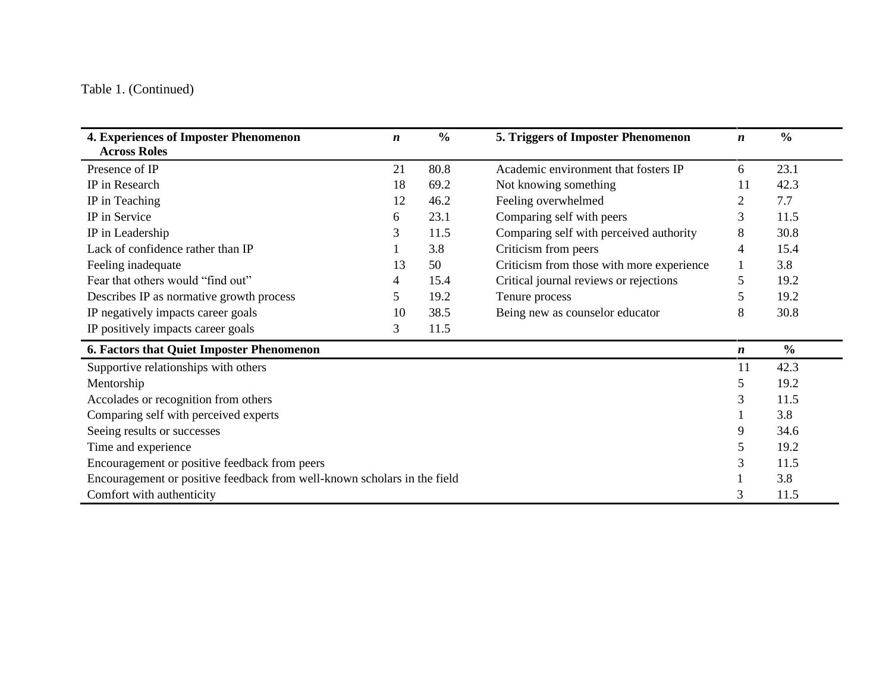# Table 1. (Continued)

| 4. Experiences of Imposter Phenomenon<br><b>Across Roles</b>             | $\boldsymbol{n}$ | $\frac{6}{6}$ | 5. Triggers of Imposter Phenomenon        | $\boldsymbol{n}$ | $\frac{0}{0}$ |
|--------------------------------------------------------------------------|------------------|---------------|-------------------------------------------|------------------|---------------|
| Presence of IP                                                           | 21               | 80.8          | Academic environment that fosters IP      | 6                | 23.1          |
| IP in Research                                                           | 18               | 69.2          | Not knowing something                     | 11               | 42.3          |
| IP in Teaching                                                           | 12               | 46.2          | Feeling overwhelmed                       | 2                | 7.7           |
| IP in Service                                                            | 6                | 23.1          | Comparing self with peers                 | 3                | 11.5          |
| IP in Leadership                                                         | 3                | 11.5          | Comparing self with perceived authority   | 8                | 30.8          |
| Lack of confidence rather than IP                                        |                  | 3.8           | Criticism from peers                      | 4                | 15.4          |
| Feeling inadequate                                                       | 13               | 50            | Criticism from those with more experience |                  | 3.8           |
| Fear that others would "find out"                                        | 4                | 15.4          | Critical journal reviews or rejections    | 5                | 19.2          |
| Describes IP as normative growth process                                 | 5                | 19.2          | Tenure process                            | 5                | 19.2          |
| IP negatively impacts career goals                                       | 10               | 38.5          | Being new as counselor educator           | 8                | 30.8          |
| IP positively impacts career goals                                       | 3                | 11.5          |                                           |                  |               |
| 6. Factors that Quiet Imposter Phenomenon                                |                  |               |                                           | $\boldsymbol{n}$ | $\frac{0}{0}$ |
| Supportive relationships with others                                     |                  |               |                                           | 11               | 42.3          |
| Mentorship                                                               |                  |               |                                           | 5                | 19.2          |
| Accolades or recognition from others                                     |                  |               |                                           | 3                | 11.5          |
| Comparing self with perceived experts                                    |                  |               |                                           |                  | 3.8           |
| Seeing results or successes                                              |                  |               |                                           | 9                | 34.6          |
| Time and experience                                                      |                  |               |                                           | 5                | 19.2          |
| Encouragement or positive feedback from peers                            |                  |               |                                           | 3                | 11.5          |
| Encouragement or positive feedback from well-known scholars in the field |                  |               |                                           |                  | 3.8           |
| Comfort with authenticity                                                |                  |               |                                           | 3                | 11.5          |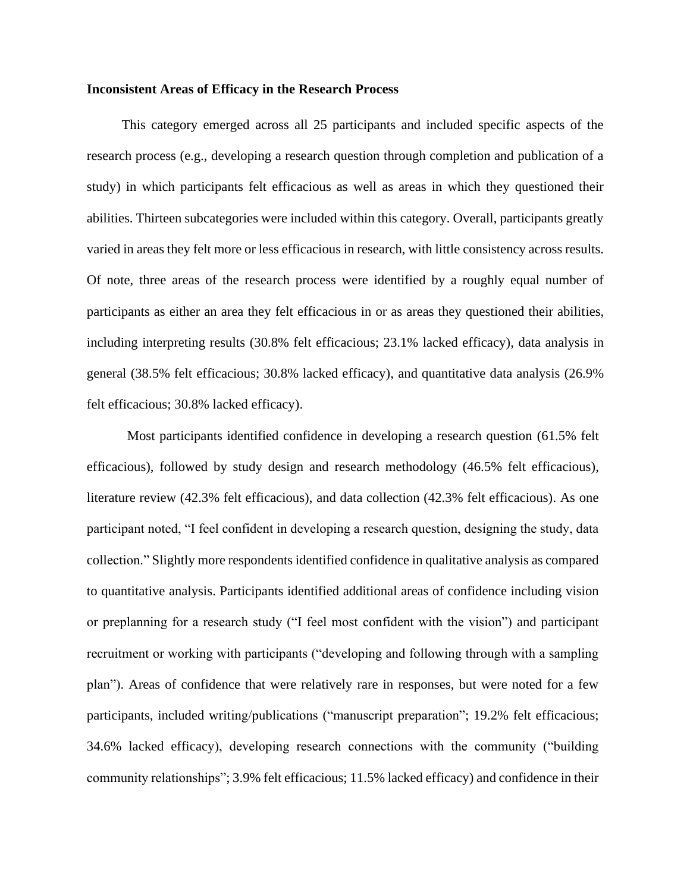#### **Inconsistent Areas of Efficacy in the Research Process**

This category emerged across all 25 participants and included specific aspects of the research process (e.g., developing a research question through completion and publication of a study) in which participants felt efficacious as well as areas in which they questioned their abilities. Thirteen subcategories were included within this category. Overall, participants greatly varied in areas they felt more or less efficacious in research, with little consistency across results. Of note, three areas of the research process were identified by a roughly equal number of participants as either an area they felt efficacious in or as areas they questioned their abilities, including interpreting results (30.8% felt efficacious; 23.1% lacked efficacy), data analysis in general (38.5% felt efficacious; 30.8% lacked efficacy), and quantitative data analysis (26.9% felt efficacious; 30.8% lacked efficacy).

Most participants identified confidence in developing a research question (61.5% felt efficacious), followed by study design and research methodology (46.5% felt efficacious), literature review (42.3% felt efficacious), and data collection (42.3% felt efficacious). As one participant noted, "I feel confident in developing a research question, designing the study, data collection." Slightly more respondents identified confidence in qualitative analysis as compared to quantitative analysis. Participants identified additional areas of confidence including vision or preplanning for a research study ("I feel most confident with the vision") and participant recruitment or working with participants ("developing and following through with a sampling plan"). Areas of confidence that were relatively rare in responses, but were noted for a few participants, included writing/publications ("manuscript preparation"; 19.2% felt efficacious; 34.6% lacked efficacy), developing research connections with the community ("building community relationships"; 3.9% felt efficacious; 11.5% lacked efficacy) and confidence in their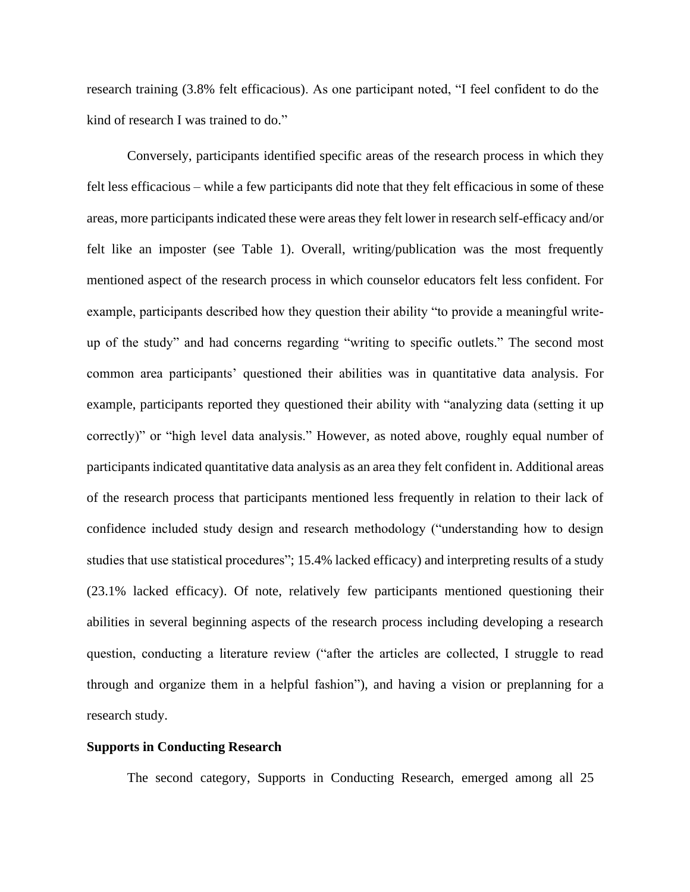research training (3.8% felt efficacious). As one participant noted, "I feel confident to do the kind of research I was trained to do."

Conversely, participants identified specific areas of the research process in which they felt less efficacious – while a few participants did note that they felt efficacious in some of these areas, more participants indicated these were areas they felt lower in research self-efficacy and/or felt like an imposter (see Table 1). Overall, writing/publication was the most frequently mentioned aspect of the research process in which counselor educators felt less confident. For example, participants described how they question their ability "to provide a meaningful writeup of the study" and had concerns regarding "writing to specific outlets." The second most common area participants' questioned their abilities was in quantitative data analysis. For example, participants reported they questioned their ability with "analyzing data (setting it up correctly)" or "high level data analysis." However, as noted above, roughly equal number of participants indicated quantitative data analysis as an area they felt confident in. Additional areas of the research process that participants mentioned less frequently in relation to their lack of confidence included study design and research methodology ("understanding how to design studies that use statistical procedures"; 15.4% lacked efficacy) and interpreting results of a study (23.1% lacked efficacy). Of note, relatively few participants mentioned questioning their abilities in several beginning aspects of the research process including developing a research question, conducting a literature review ("after the articles are collected, I struggle to read through and organize them in a helpful fashion"), and having a vision or preplanning for a research study.

#### **Supports in Conducting Research**

The second category, Supports in Conducting Research, emerged among all 25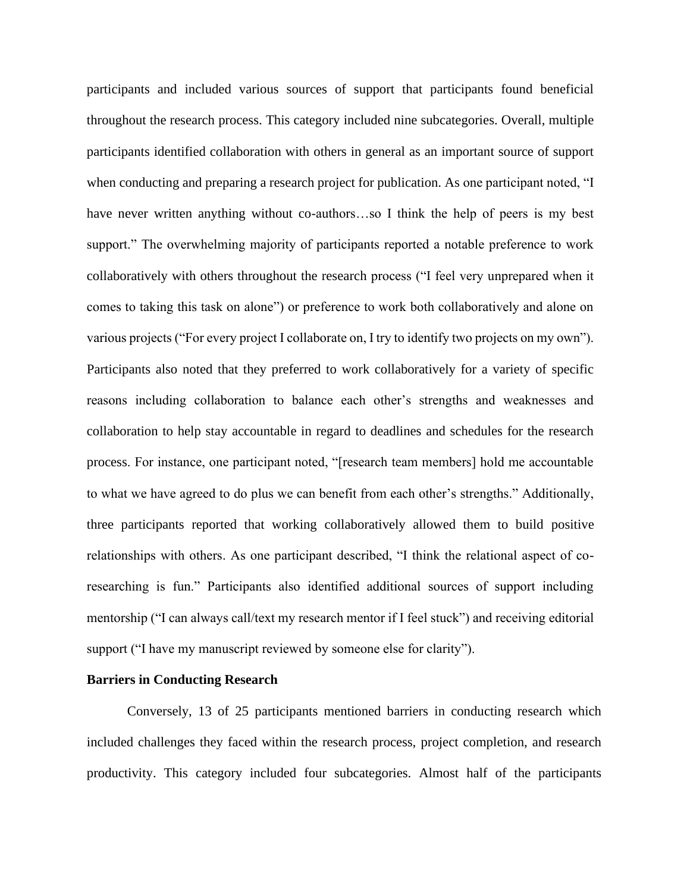participants and included various sources of support that participants found beneficial throughout the research process. This category included nine subcategories. Overall, multiple participants identified collaboration with others in general as an important source of support when conducting and preparing a research project for publication. As one participant noted, "I have never written anything without co-authors...so I think the help of peers is my best support." The overwhelming majority of participants reported a notable preference to work collaboratively with others throughout the research process ("I feel very unprepared when it comes to taking this task on alone") or preference to work both collaboratively and alone on various projects ("For every project I collaborate on, I try to identify two projects on my own"). Participants also noted that they preferred to work collaboratively for a variety of specific reasons including collaboration to balance each other's strengths and weaknesses and collaboration to help stay accountable in regard to deadlines and schedules for the research process. For instance, one participant noted, "[research team members] hold me accountable to what we have agreed to do plus we can benefit from each other's strengths." Additionally, three participants reported that working collaboratively allowed them to build positive relationships with others. As one participant described, "I think the relational aspect of coresearching is fun." Participants also identified additional sources of support including mentorship ("I can always call/text my research mentor if I feel stuck") and receiving editorial support ("I have my manuscript reviewed by someone else for clarity").

#### **Barriers in Conducting Research**

Conversely, 13 of 25 participants mentioned barriers in conducting research which included challenges they faced within the research process, project completion, and research productivity. This category included four subcategories. Almost half of the participants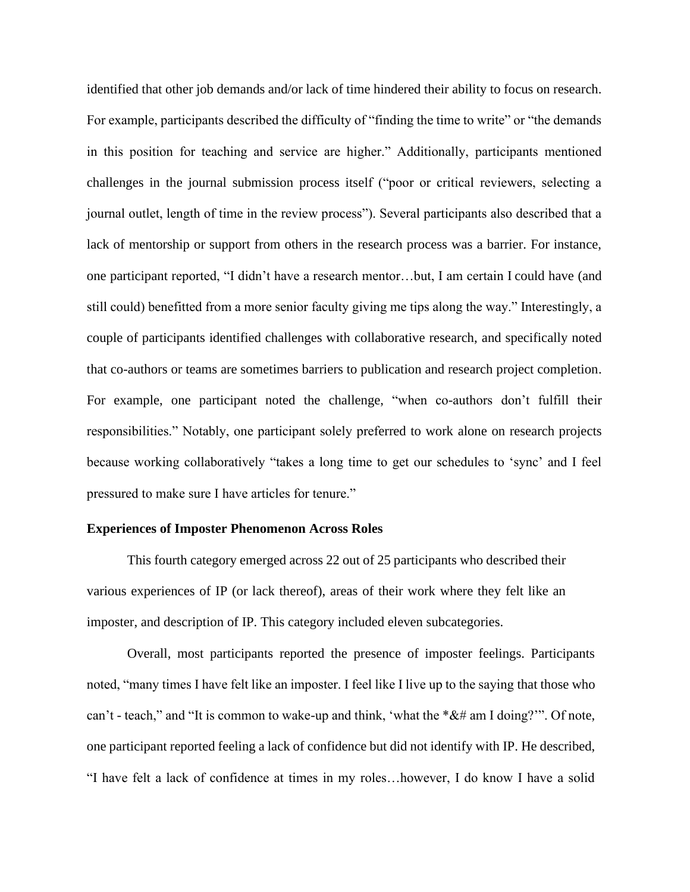identified that other job demands and/or lack of time hindered their ability to focus on research. For example, participants described the difficulty of "finding the time to write" or "the demands in this position for teaching and service are higher." Additionally, participants mentioned challenges in the journal submission process itself ("poor or critical reviewers, selecting a journal outlet, length of time in the review process"). Several participants also described that a lack of mentorship or support from others in the research process was a barrier. For instance, one participant reported, "I didn't have a research mentor…but, I am certain I could have (and still could) benefitted from a more senior faculty giving me tips along the way." Interestingly, a couple of participants identified challenges with collaborative research, and specifically noted that co-authors or teams are sometimes barriers to publication and research project completion. For example, one participant noted the challenge, "when co-authors don't fulfill their responsibilities." Notably, one participant solely preferred to work alone on research projects because working collaboratively "takes a long time to get our schedules to 'sync' and I feel pressured to make sure I have articles for tenure."

#### **Experiences of Imposter Phenomenon Across Roles**

This fourth category emerged across 22 out of 25 participants who described their various experiences of IP (or lack thereof), areas of their work where they felt like an imposter, and description of IP. This category included eleven subcategories.

Overall, most participants reported the presence of imposter feelings. Participants noted, "many times I have felt like an imposter. I feel like I live up to the saying that those who can't - teach," and "It is common to wake-up and think, 'what the  $*&#$  am I doing?"". Of note, one participant reported feeling a lack of confidence but did not identify with IP. He described, "I have felt a lack of confidence at times in my roles…however, I do know I have a solid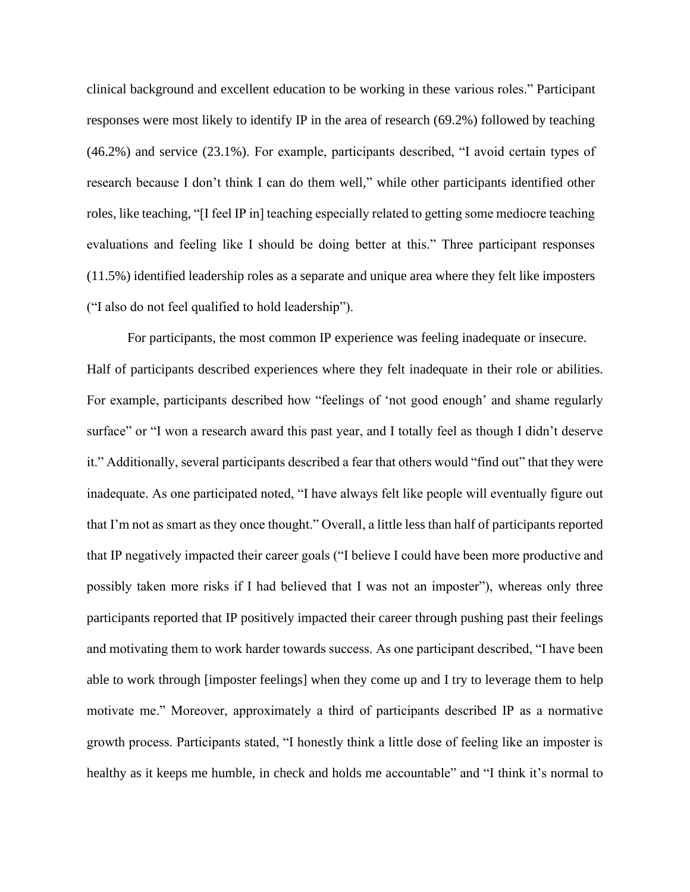clinical background and excellent education to be working in these various roles." Participant responses were most likely to identify IP in the area of research (69.2%) followed by teaching (46.2%) and service (23.1%). For example, participants described, "I avoid certain types of research because I don't think I can do them well," while other participants identified other roles, like teaching, "[I feel IP in] teaching especially related to getting some mediocre teaching evaluations and feeling like I should be doing better at this." Three participant responses (11.5%) identified leadership roles as a separate and unique area where they felt like imposters ("I also do not feel qualified to hold leadership").

For participants, the most common IP experience was feeling inadequate or insecure. Half of participants described experiences where they felt inadequate in their role or abilities. For example, participants described how "feelings of 'not good enough' and shame regularly surface" or "I won a research award this past year, and I totally feel as though I didn't deserve it." Additionally, several participants described a fear that others would "find out" that they were inadequate. As one participated noted, "I have always felt like people will eventually figure out that I'm not as smart as they once thought." Overall, a little less than half of participants reported that IP negatively impacted their career goals ("I believe I could have been more productive and possibly taken more risks if I had believed that I was not an imposter"), whereas only three participants reported that IP positively impacted their career through pushing past their feelings and motivating them to work harder towards success. As one participant described, "I have been able to work through [imposter feelings] when they come up and I try to leverage them to help motivate me." Moreover, approximately a third of participants described IP as a normative growth process. Participants stated, "I honestly think a little dose of feeling like an imposter is healthy as it keeps me humble, in check and holds me accountable" and "I think it's normal to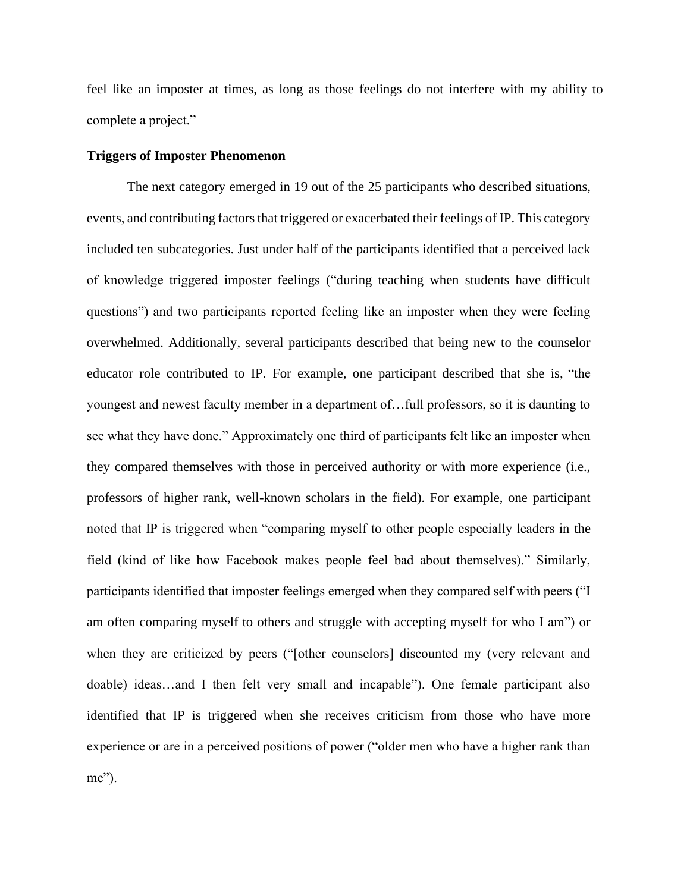feel like an imposter at times, as long as those feelings do not interfere with my ability to complete a project."

#### **Triggers of Imposter Phenomenon**

The next category emerged in 19 out of the 25 participants who described situations, events, and contributing factors that triggered or exacerbated their feelings of IP. This category included ten subcategories. Just under half of the participants identified that a perceived lack of knowledge triggered imposter feelings ("during teaching when students have difficult questions") and two participants reported feeling like an imposter when they were feeling overwhelmed. Additionally, several participants described that being new to the counselor educator role contributed to IP. For example, one participant described that she is, "the youngest and newest faculty member in a department of…full professors, so it is daunting to see what they have done." Approximately one third of participants felt like an imposter when they compared themselves with those in perceived authority or with more experience (i.e., professors of higher rank, well-known scholars in the field). For example, one participant noted that IP is triggered when "comparing myself to other people especially leaders in the field (kind of like how Facebook makes people feel bad about themselves)." Similarly, participants identified that imposter feelings emerged when they compared self with peers ("I am often comparing myself to others and struggle with accepting myself for who I am") or when they are criticized by peers ("[other counselors] discounted my (very relevant and doable) ideas…and I then felt very small and incapable"). One female participant also identified that IP is triggered when she receives criticism from those who have more experience or are in a perceived positions of power ("older men who have a higher rank than me").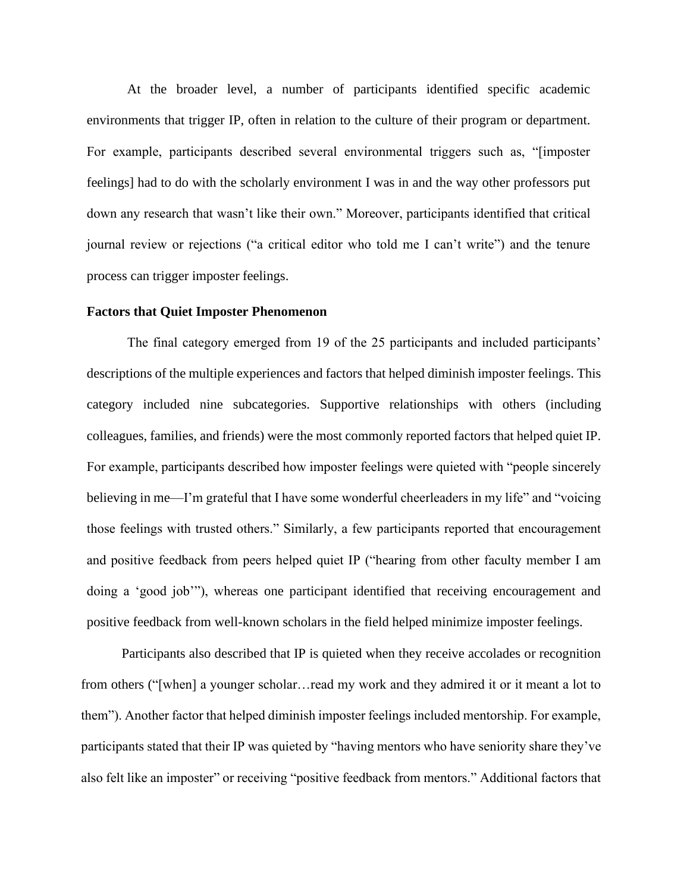At the broader level, a number of participants identified specific academic environments that trigger IP, often in relation to the culture of their program or department. For example, participants described several environmental triggers such as, "[imposter feelings] had to do with the scholarly environment I was in and the way other professors put down any research that wasn't like their own." Moreover, participants identified that critical journal review or rejections ("a critical editor who told me I can't write") and the tenure process can trigger imposter feelings.

#### **Factors that Quiet Imposter Phenomenon**

The final category emerged from 19 of the 25 participants and included participants' descriptions of the multiple experiences and factors that helped diminish imposter feelings. This category included nine subcategories. Supportive relationships with others (including colleagues, families, and friends) were the most commonly reported factors that helped quiet IP. For example, participants described how imposter feelings were quieted with "people sincerely believing in me—I'm grateful that I have some wonderful cheerleaders in my life" and "voicing those feelings with trusted others." Similarly, a few participants reported that encouragement and positive feedback from peers helped quiet IP ("hearing from other faculty member I am doing a 'good job'"), whereas one participant identified that receiving encouragement and positive feedback from well-known scholars in the field helped minimize imposter feelings.

Participants also described that IP is quieted when they receive accolades or recognition from others ("[when] a younger scholar…read my work and they admired it or it meant a lot to them"). Another factor that helped diminish imposter feelings included mentorship. For example, participants stated that their IP was quieted by "having mentors who have seniority share they've also felt like an imposter" or receiving "positive feedback from mentors." Additional factors that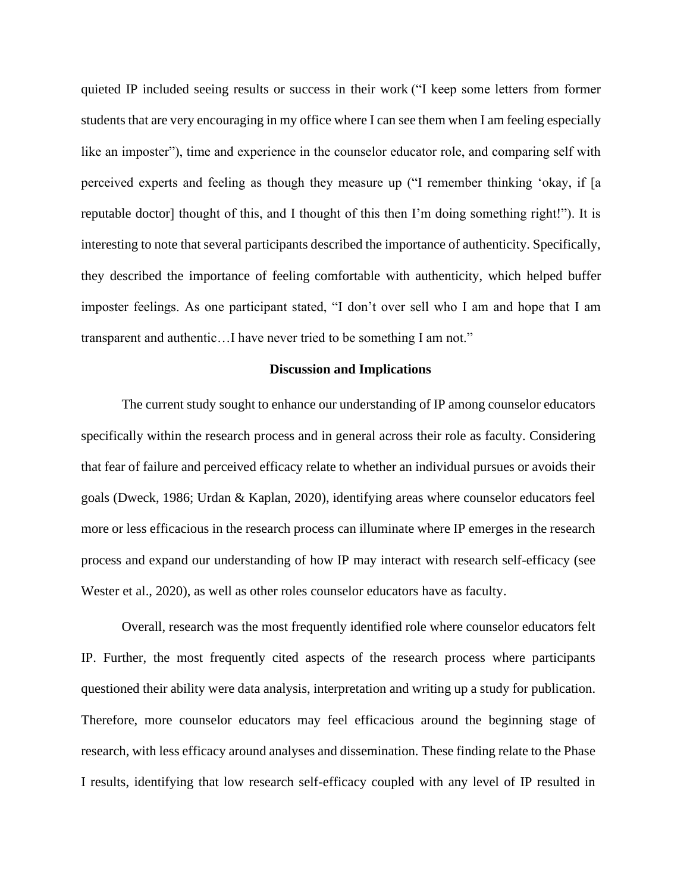quieted IP included seeing results or success in their work ("I keep some letters from former students that are very encouraging in my office where I can see them when I am feeling especially like an imposter"), time and experience in the counselor educator role, and comparing self with perceived experts and feeling as though they measure up ("I remember thinking 'okay, if [a reputable doctor] thought of this, and I thought of this then I'm doing something right!"). It is interesting to note that several participants described the importance of authenticity. Specifically, they described the importance of feeling comfortable with authenticity, which helped buffer imposter feelings. As one participant stated, "I don't over sell who I am and hope that I am transparent and authentic…I have never tried to be something I am not."

#### **Discussion and Implications**

The current study sought to enhance our understanding of IP among counselor educators specifically within the research process and in general across their role as faculty. Considering that fear of failure and perceived efficacy relate to whether an individual pursues or avoids their goals (Dweck, 1986; Urdan & Kaplan, 2020), identifying areas where counselor educators feel more or less efficacious in the research process can illuminate where IP emerges in the research process and expand our understanding of how IP may interact with research self-efficacy (see Wester et al., 2020), as well as other roles counselor educators have as faculty.

Overall, research was the most frequently identified role where counselor educators felt IP. Further, the most frequently cited aspects of the research process where participants questioned their ability were data analysis, interpretation and writing up a study for publication. Therefore, more counselor educators may feel efficacious around the beginning stage of research, with less efficacy around analyses and dissemination. These finding relate to the Phase I results, identifying that low research self-efficacy coupled with any level of IP resulted in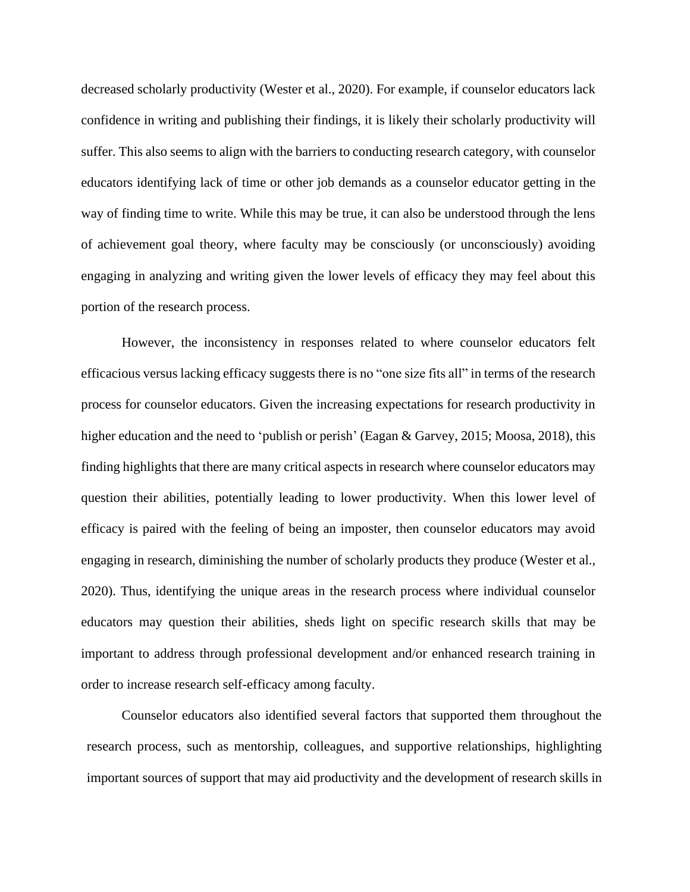decreased scholarly productivity (Wester et al., 2020). For example, if counselor educators lack confidence in writing and publishing their findings, it is likely their scholarly productivity will suffer. This also seems to align with the barriers to conducting research category, with counselor educators identifying lack of time or other job demands as a counselor educator getting in the way of finding time to write. While this may be true, it can also be understood through the lens of achievement goal theory, where faculty may be consciously (or unconsciously) avoiding engaging in analyzing and writing given the lower levels of efficacy they may feel about this portion of the research process.

However, the inconsistency in responses related to where counselor educators felt efficacious versus lacking efficacy suggests there is no "one size fits all" in terms of the research process for counselor educators. Given the increasing expectations for research productivity in higher education and the need to 'publish or perish' (Eagan & Garvey, 2015; Moosa, 2018), this finding highlights that there are many critical aspects in research where counselor educators may question their abilities, potentially leading to lower productivity. When this lower level of efficacy is paired with the feeling of being an imposter, then counselor educators may avoid engaging in research, diminishing the number of scholarly products they produce (Wester et al., 2020). Thus, identifying the unique areas in the research process where individual counselor educators may question their abilities, sheds light on specific research skills that may be important to address through professional development and/or enhanced research training in order to increase research self-efficacy among faculty.

Counselor educators also identified several factors that supported them throughout the research process, such as mentorship, colleagues, and supportive relationships, highlighting important sources of support that may aid productivity and the development of research skills in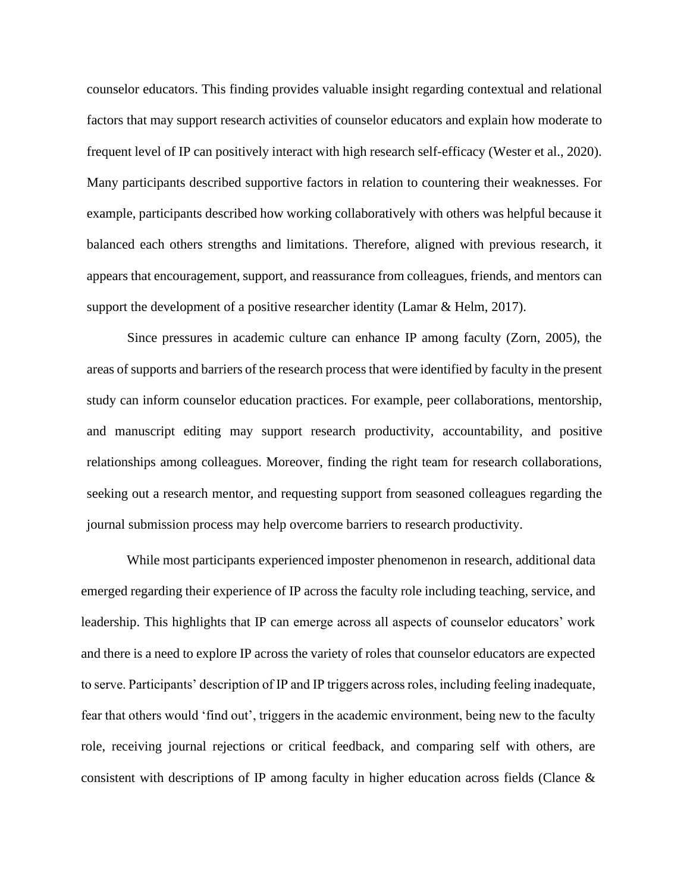counselor educators. This finding provides valuable insight regarding contextual and relational factors that may support research activities of counselor educators and explain how moderate to frequent level of IP can positively interact with high research self-efficacy (Wester et al., 2020). Many participants described supportive factors in relation to countering their weaknesses. For example, participants described how working collaboratively with others was helpful because it balanced each others strengths and limitations. Therefore, aligned with previous research, it appears that encouragement, support, and reassurance from colleagues, friends, and mentors can support the development of a positive researcher identity (Lamar  $\&$  Helm, 2017).

Since pressures in academic culture can enhance IP among faculty (Zorn, 2005), the areas of supports and barriers of the research process that were identified by faculty in the present study can inform counselor education practices. For example, peer collaborations, mentorship, and manuscript editing may support research productivity, accountability, and positive relationships among colleagues. Moreover, finding the right team for research collaborations, seeking out a research mentor, and requesting support from seasoned colleagues regarding the journal submission process may help overcome barriers to research productivity.

While most participants experienced imposter phenomenon in research, additional data emerged regarding their experience of IP across the faculty role including teaching, service, and leadership. This highlights that IP can emerge across all aspects of counselor educators' work and there is a need to explore IP across the variety of roles that counselor educators are expected to serve. Participants' description of IP and IP triggers across roles, including feeling inadequate, fear that others would 'find out', triggers in the academic environment, being new to the faculty role, receiving journal rejections or critical feedback, and comparing self with others, are consistent with descriptions of IP among faculty in higher education across fields (Clance &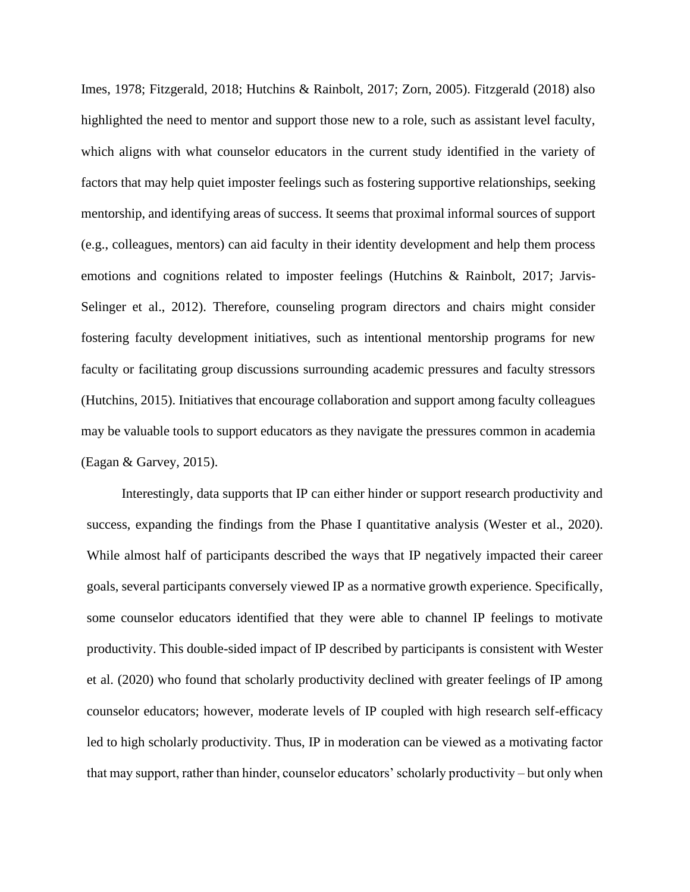Imes, 1978; Fitzgerald, 2018; Hutchins & Rainbolt, 2017; Zorn, 2005). Fitzgerald (2018) also highlighted the need to mentor and support those new to a role, such as assistant level faculty, which aligns with what counselor educators in the current study identified in the variety of factors that may help quiet imposter feelings such as fostering supportive relationships, seeking mentorship, and identifying areas of success. It seems that proximal informal sources of support (e.g., colleagues, mentors) can aid faculty in their identity development and help them process emotions and cognitions related to imposter feelings (Hutchins & Rainbolt, 2017; Jarvis-Selinger et al., 2012). Therefore, counseling program directors and chairs might consider fostering faculty development initiatives, such as intentional mentorship programs for new faculty or facilitating group discussions surrounding academic pressures and faculty stressors (Hutchins, 2015). Initiatives that encourage collaboration and support among faculty colleagues may be valuable tools to support educators as they navigate the pressures common in academia (Eagan & Garvey, 2015).

Interestingly, data supports that IP can either hinder or support research productivity and success, expanding the findings from the Phase I quantitative analysis (Wester et al., 2020). While almost half of participants described the ways that IP negatively impacted their career goals, several participants conversely viewed IP as a normative growth experience. Specifically, some counselor educators identified that they were able to channel IP feelings to motivate productivity. This double-sided impact of IP described by participants is consistent with Wester et al. (2020) who found that scholarly productivity declined with greater feelings of IP among counselor educators; however, moderate levels of IP coupled with high research self-efficacy led to high scholarly productivity. Thus, IP in moderation can be viewed as a motivating factor that may support, rather than hinder, counselor educators' scholarly productivity – but only when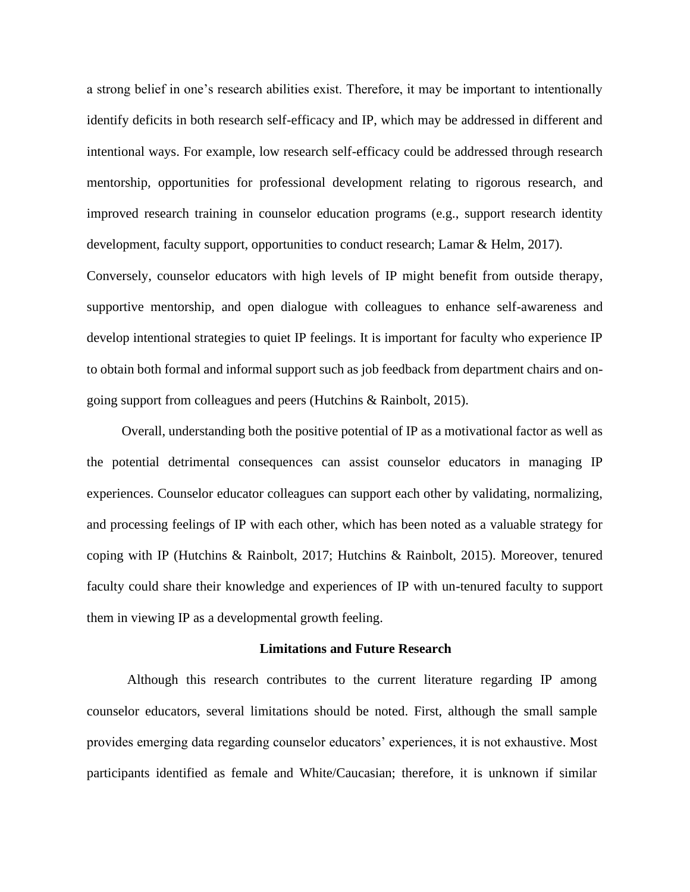a strong belief in one's research abilities exist. Therefore, it may be important to intentionally identify deficits in both research self-efficacy and IP, which may be addressed in different and intentional ways. For example, low research self-efficacy could be addressed through research mentorship, opportunities for professional development relating to rigorous research, and improved research training in counselor education programs (e.g., support research identity development, faculty support, opportunities to conduct research; Lamar & Helm, 2017).

Conversely, counselor educators with high levels of IP might benefit from outside therapy, supportive mentorship, and open dialogue with colleagues to enhance self-awareness and develop intentional strategies to quiet IP feelings. It is important for faculty who experience IP to obtain both formal and informal support such as job feedback from department chairs and ongoing support from colleagues and peers (Hutchins & Rainbolt, 2015).

Overall, understanding both the positive potential of IP as a motivational factor as well as the potential detrimental consequences can assist counselor educators in managing IP experiences. Counselor educator colleagues can support each other by validating, normalizing, and processing feelings of IP with each other, which has been noted as a valuable strategy for coping with IP (Hutchins & Rainbolt, 2017; Hutchins & Rainbolt, 2015). Moreover, tenured faculty could share their knowledge and experiences of IP with un-tenured faculty to support them in viewing IP as a developmental growth feeling.

#### **Limitations and Future Research**

Although this research contributes to the current literature regarding IP among counselor educators, several limitations should be noted. First, although the small sample provides emerging data regarding counselor educators' experiences, it is not exhaustive. Most participants identified as female and White/Caucasian; therefore, it is unknown if similar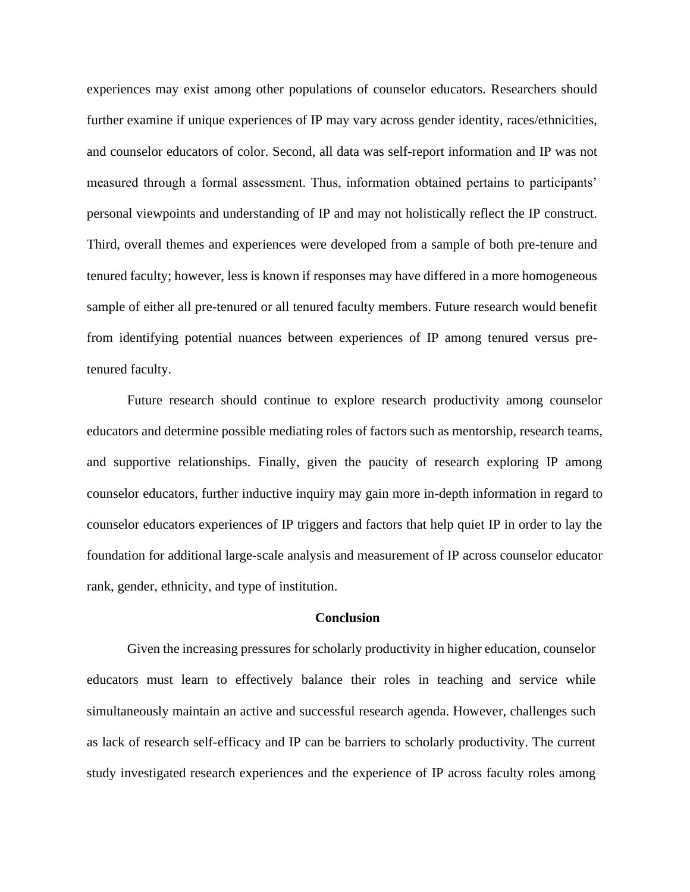experiences may exist among other populations of counselor educators. Researchers should further examine if unique experiences of IP may vary across gender identity, races/ethnicities, and counselor educators of color. Second, all data was self-report information and IP was not measured through a formal assessment. Thus, information obtained pertains to participants' personal viewpoints and understanding of IP and may not holistically reflect the IP construct. Third, overall themes and experiences were developed from a sample of both pre-tenure and tenured faculty; however, less is known if responses may have differed in a more homogeneous sample of either all pre-tenured or all tenured faculty members. Future research would benefit from identifying potential nuances between experiences of IP among tenured versus pretenured faculty.

Future research should continue to explore research productivity among counselor educators and determine possible mediating roles of factors such as mentorship, research teams, and supportive relationships. Finally, given the paucity of research exploring IP among counselor educators, further inductive inquiry may gain more in-depth information in regard to counselor educators experiences of IP triggers and factors that help quiet IP in order to lay the foundation for additional large-scale analysis and measurement of IP across counselor educator rank, gender, ethnicity, and type of institution.

#### **Conclusion**

Given the increasing pressures for scholarly productivity in higher education, counselor educators must learn to effectively balance their roles in teaching and service while simultaneously maintain an active and successful research agenda. However, challenges such as lack of research self-efficacy and IP can be barriers to scholarly productivity. The current study investigated research experiences and the experience of IP across faculty roles among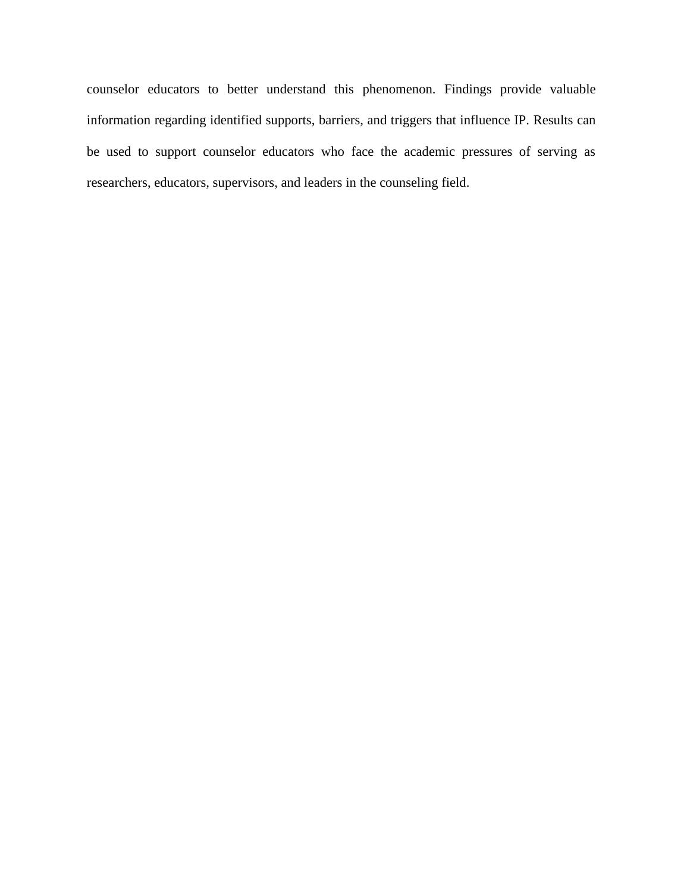counselor educators to better understand this phenomenon. Findings provide valuable information regarding identified supports, barriers, and triggers that influence IP. Results can be used to support counselor educators who face the academic pressures of serving as researchers, educators, supervisors, and leaders in the counseling field.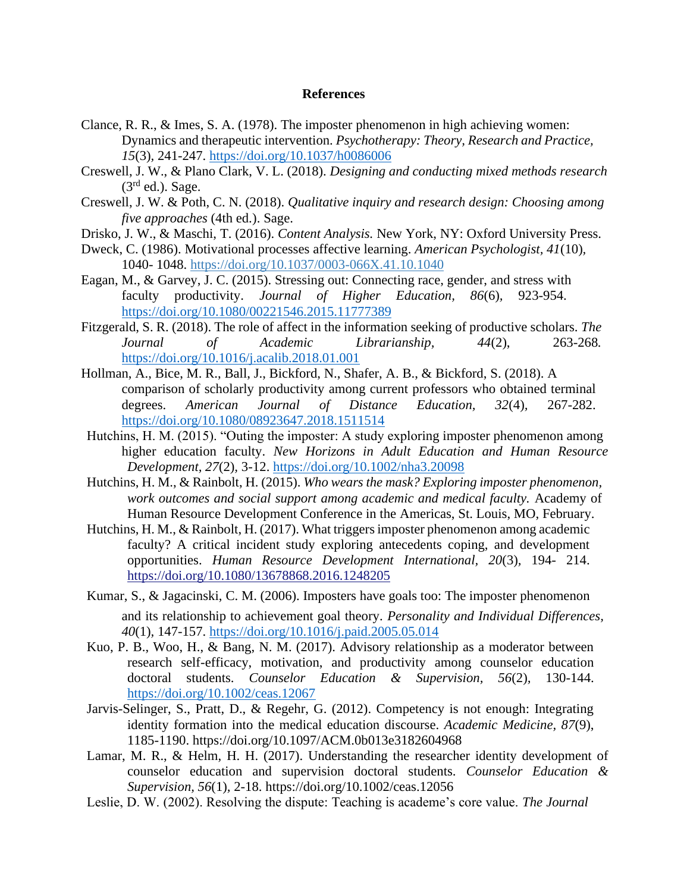#### **References**

- Clance, R. R., & Imes, S. A. (1978). The imposter phenomenon in high achieving women: Dynamics and therapeutic intervention. *Psychotherapy: Theory, Research and Practice, 15*(3)*,* 241-247. [https://doi.org/10.1037/h0086006](https://psycnet.apa.org/doi/10.1037/h0086006)
- Creswell, J. W., & Plano Clark, V. L. (2018). *Designing and conducting mixed methods research*   $(3<sup>rd</sup>$  ed.). Sage.
- Creswell, J. W. & Poth, C. N. (2018). *Qualitative inquiry and research design: Choosing among five approaches* (4th ed.). Sage.
- Drisko, J. W., & Maschi, T. (2016). *Content Analysis.* New York, NY: Oxford University Press.
- Dweck, C. (1986). Motivational processes affective learning. *American Psychologist, 41*(10)*,*  1040- 1048. [https://doi.org/10.1037/0003-066X.41.10.1040](https://psycnet.apa.org/doi/10.1037/0003-066X.41.10.1040)
- Eagan, M., & Garvey, J. C. (2015). Stressing out: Connecting race, gender, and stress with faculty productivity. *Journal of Higher Education, 86*(6)*,* 923-954. <https://doi.org/10.1080/00221546.2015.11777389>
- Fitzgerald, S. R. (2018). The role of affect in the information seeking of productive scholars. *The Journal of Academic Librarianship, 44*(2), 263-268*.* <https://doi.org/10.1016/j.acalib.2018.01.001>
- Hollman, A., Bice, M. R., Ball, J., Bickford, N., Shafer, A. B., & Bickford, S. (2018). A comparison of scholarly productivity among current professors who obtained terminal degrees. *American Journal of Distance Education, 32*(4)*,* 267-282. <https://doi.org/10.1080/08923647.2018.1511514>
- Hutchins, H. M. (2015). "Outing the imposter: A study exploring imposter phenomenon among higher education faculty. *New Horizons in Adult Education and Human Resource Development, 27*(2)*,* 3-12. <https://doi.org/10.1002/nha3.20098>
- Hutchins, H. M., & Rainbolt, H. (2015). *Who wears the mask? Exploring imposter phenomenon, work outcomes and social support among academic and medical faculty.* Academy of Human Resource Development Conference in the Americas, St. Louis, MO, February.
- Hutchins, H. M., & Rainbolt, H. (2017). What triggers imposter phenomenon among academic faculty? A critical incident study exploring antecedents coping, and development opportunities. *Human Resource Development International, 20*(3)*,* 194- 214. <https://doi.org/10.1080/13678868.2016.1248205>
- Kumar, S., & Jagacinski, C. M. (2006). Imposters have goals too: The imposter phenomenon and its relationship to achievement goal theory. *Personality and Individual Differences, 40*(1)*,* 147-157. [https://doi.org/10.1016/j.paid.2005.05.014](https://psycnet.apa.org/doi/10.1016/j.paid.2005.05.014)
- Kuo, P. B., Woo, H., & Bang, N. M. (2017). Advisory relationship as a moderator between research self-efficacy, motivation, and productivity among counselor education doctoral students. *Counselor Education & Supervision, 56*(2)*,* 130-144. [https://doi.org/10.1002/ceas.12067](https://psycnet.apa.org/doi/10.1002/ceas.12067)
- Jarvis-Selinger, S., Pratt, D., & Regehr, G. (2012). Competency is not enough: Integrating identity formation into the medical education discourse. *Academic Medicine, 87*(9), 1185-1190. https://doi.org/10.1097/ACM.0b013e3182604968
- Lamar, M. R., & Helm, H. H. (2017). Understanding the researcher identity development of counselor education and supervision doctoral students. *Counselor Education & Supervision, 56*(1)*,* 2-18. https://doi.org/10.1002/ceas.12056
- Leslie, D. W. (2002). Resolving the dispute: Teaching is academe's core value. *The Journal*